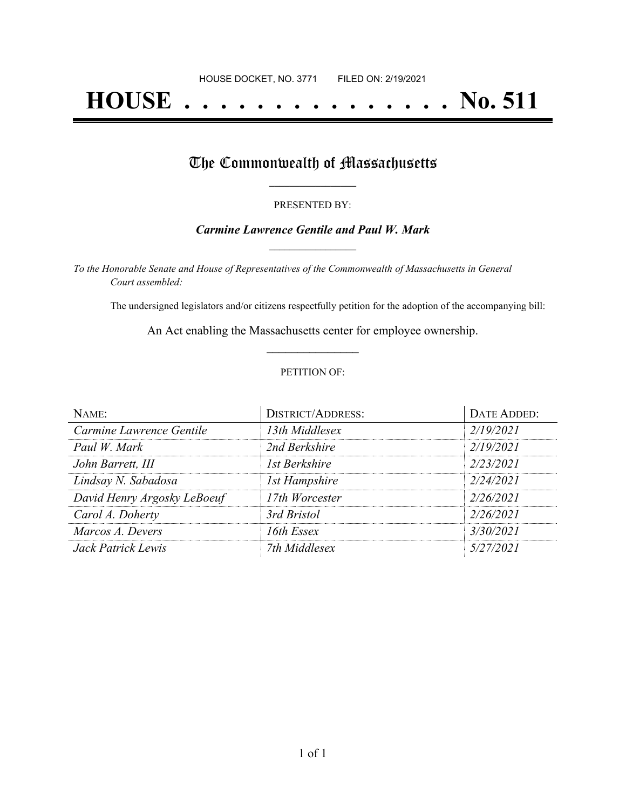# **HOUSE . . . . . . . . . . . . . . . No. 511**

## The Commonwealth of Massachusetts

#### PRESENTED BY:

### *Carmine Lawrence Gentile and Paul W. Mark* **\_\_\_\_\_\_\_\_\_\_\_\_\_\_\_\_\_**

*To the Honorable Senate and House of Representatives of the Commonwealth of Massachusetts in General Court assembled:*

The undersigned legislators and/or citizens respectfully petition for the adoption of the accompanying bill:

An Act enabling the Massachusetts center for employee ownership. **\_\_\_\_\_\_\_\_\_\_\_\_\_\_\_**

#### PETITION OF:

| NAME:                       | <b>DISTRICT/ADDRESS:</b> | DATE ADDED: |
|-----------------------------|--------------------------|-------------|
| Carmine Lawrence Gentile    | 13th Middlesex           | 2/19/2021   |
| Paul W. Mark                | 2nd Berkshire            | 2/19/2021   |
| John Barrett, III           | 1st Berkshire            | 2/23/2021   |
| Lindsay N. Sabadosa         | 1st Hampshire            | 2/24/2021   |
| David Henry Argosky LeBoeuf | 17th Worcester           | 2/26/2021   |
| Carol A. Doherty            | 3rd Bristol              | 2/26/2021   |
| Marcos A. Devers            | 16th Essex               | 3/30/2021   |
| Jack Patrick Lewis          | 7th Middlesex            | 5/27/2021   |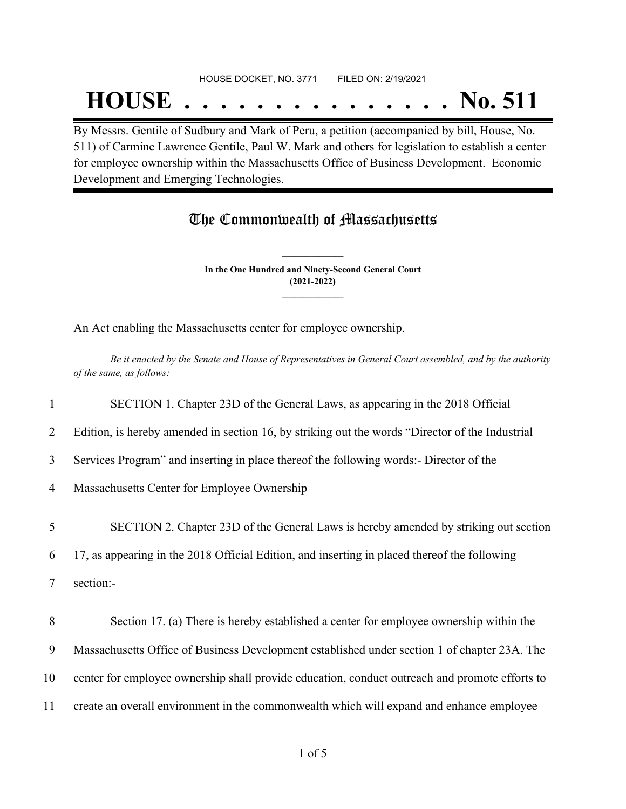## HOUSE DOCKET, NO. 3771 FILED ON: 2/19/2021 **HOUSE . . . . . . . . . . . . . . . No. 511**

By Messrs. Gentile of Sudbury and Mark of Peru, a petition (accompanied by bill, House, No. 511) of Carmine Lawrence Gentile, Paul W. Mark and others for legislation to establish a center for employee ownership within the Massachusetts Office of Business Development. Economic Development and Emerging Technologies.

## The Commonwealth of Massachusetts

**In the One Hundred and Ninety-Second General Court (2021-2022) \_\_\_\_\_\_\_\_\_\_\_\_\_\_\_**

**\_\_\_\_\_\_\_\_\_\_\_\_\_\_\_**

An Act enabling the Massachusetts center for employee ownership.

Be it enacted by the Senate and House of Representatives in General Court assembled, and by the authority *of the same, as follows:*

1 SECTION 1. Chapter 23D of the General Laws, as appearing in the 2018 Official

2 Edition, is hereby amended in section 16, by striking out the words "Director of the Industrial

3 Services Program" and inserting in place thereof the following words:- Director of the

4 Massachusetts Center for Employee Ownership

5 SECTION 2. Chapter 23D of the General Laws is hereby amended by striking out section

6 17, as appearing in the 2018 Official Edition, and inserting in placed thereof the following

7 section:-

 Section 17. (a) There is hereby established a center for employee ownership within the Massachusetts Office of Business Development established under section 1 of chapter 23A. The center for employee ownership shall provide education, conduct outreach and promote efforts to create an overall environment in the commonwealth which will expand and enhance employee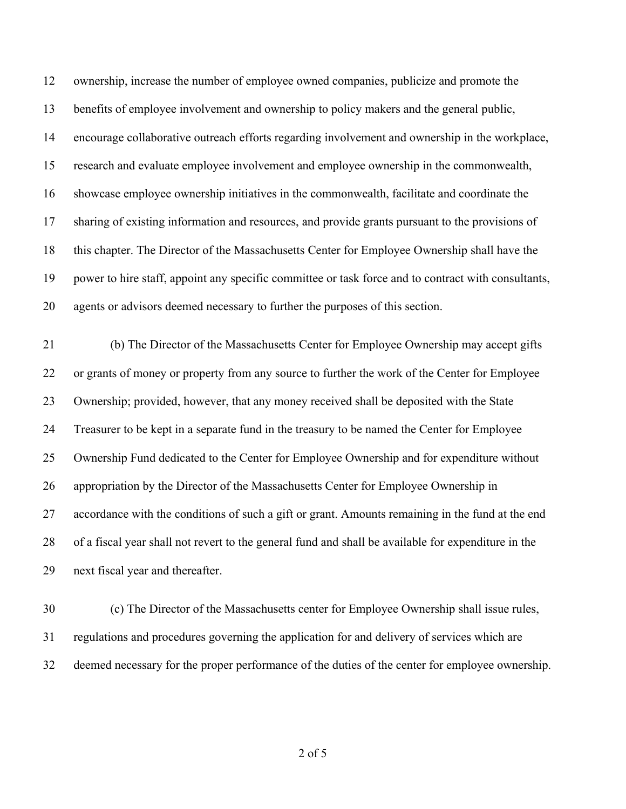ownership, increase the number of employee owned companies, publicize and promote the benefits of employee involvement and ownership to policy makers and the general public, encourage collaborative outreach efforts regarding involvement and ownership in the workplace, research and evaluate employee involvement and employee ownership in the commonwealth, showcase employee ownership initiatives in the commonwealth, facilitate and coordinate the sharing of existing information and resources, and provide grants pursuant to the provisions of this chapter. The Director of the Massachusetts Center for Employee Ownership shall have the power to hire staff, appoint any specific committee or task force and to contract with consultants, agents or advisors deemed necessary to further the purposes of this section.

 (b) The Director of the Massachusetts Center for Employee Ownership may accept gifts or grants of money or property from any source to further the work of the Center for Employee Ownership; provided, however, that any money received shall be deposited with the State Treasurer to be kept in a separate fund in the treasury to be named the Center for Employee Ownership Fund dedicated to the Center for Employee Ownership and for expenditure without appropriation by the Director of the Massachusetts Center for Employee Ownership in accordance with the conditions of such a gift or grant. Amounts remaining in the fund at the end of a fiscal year shall not revert to the general fund and shall be available for expenditure in the next fiscal year and thereafter.

 (c) The Director of the Massachusetts center for Employee Ownership shall issue rules, regulations and procedures governing the application for and delivery of services which are deemed necessary for the proper performance of the duties of the center for employee ownership.

of 5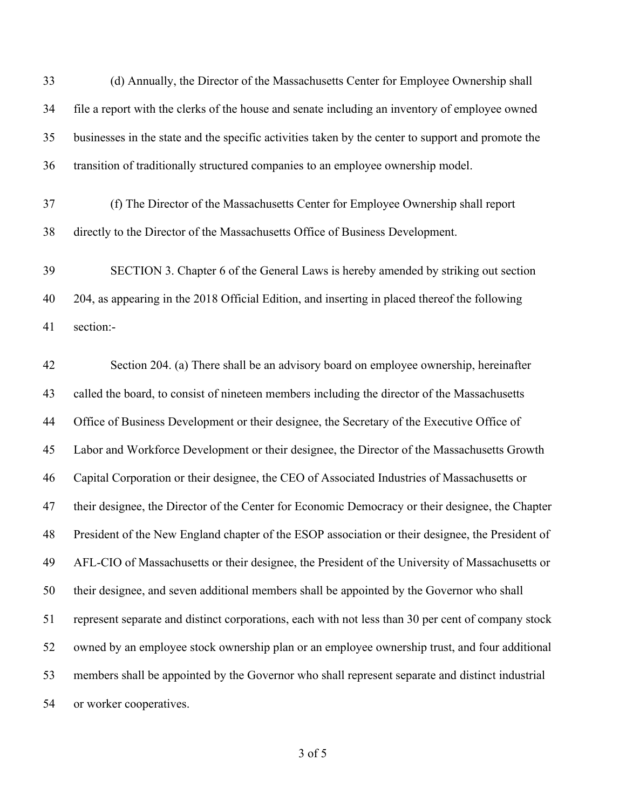| 33 | (d) Annually, the Director of the Massachusetts Center for Employee Ownership shall                |
|----|----------------------------------------------------------------------------------------------------|
| 34 | file a report with the clerks of the house and senate including an inventory of employee owned     |
| 35 | businesses in the state and the specific activities taken by the center to support and promote the |
| 36 | transition of traditionally structured companies to an employee ownership model.                   |
| 37 | (f) The Director of the Massachusetts Center for Employee Ownership shall report                   |
| 38 | directly to the Director of the Massachusetts Office of Business Development.                      |
| 39 | SECTION 3. Chapter 6 of the General Laws is hereby amended by striking out section                 |
| 40 | 204, as appearing in the 2018 Official Edition, and inserting in placed thereof the following      |
| 41 | section:-                                                                                          |
| 42 | Section 204. (a) There shall be an advisory board on employee ownership, hereinafter               |
| 43 | called the board, to consist of nineteen members including the director of the Massachusetts       |
| 44 | Office of Business Development or their designee, the Secretary of the Executive Office of         |
| 45 | Labor and Workforce Development or their designee, the Director of the Massachusetts Growth        |
| 46 | Capital Corporation or their designee, the CEO of Associated Industries of Massachusetts or        |
| 47 | their designee, the Director of the Center for Economic Democracy or their designee, the Chapter   |
| 48 | President of the New England chapter of the ESOP association or their designee, the President of   |
| 49 | AFL-CIO of Massachusetts or their designee, the President of the University of Massachusetts or    |
| 50 | their designee, and seven additional members shall be appointed by the Governor who shall          |
| 51 | represent separate and distinct corporations, each with not less than 30 per cent of company stock |
| 52 | owned by an employee stock ownership plan or an employee ownership trust, and four additional      |
| 53 | members shall be appointed by the Governor who shall represent separate and distinct industrial    |
| 54 | or worker cooperatives.                                                                            |

of 5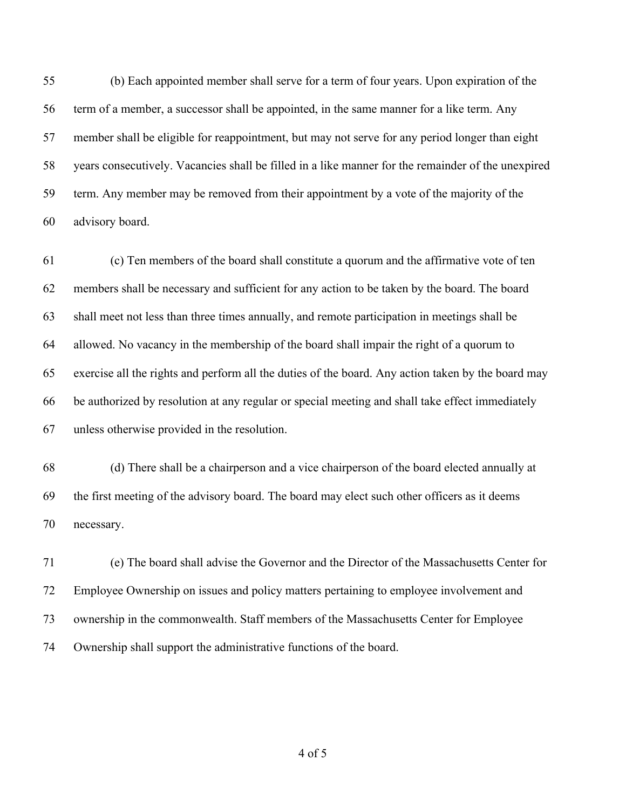(b) Each appointed member shall serve for a term of four years. Upon expiration of the term of a member, a successor shall be appointed, in the same manner for a like term. Any member shall be eligible for reappointment, but may not serve for any period longer than eight years consecutively. Vacancies shall be filled in a like manner for the remainder of the unexpired term. Any member may be removed from their appointment by a vote of the majority of the advisory board.

 (c) Ten members of the board shall constitute a quorum and the affirmative vote of ten members shall be necessary and sufficient for any action to be taken by the board. The board shall meet not less than three times annually, and remote participation in meetings shall be allowed. No vacancy in the membership of the board shall impair the right of a quorum to exercise all the rights and perform all the duties of the board. Any action taken by the board may be authorized by resolution at any regular or special meeting and shall take effect immediately unless otherwise provided in the resolution.

 (d) There shall be a chairperson and a vice chairperson of the board elected annually at the first meeting of the advisory board. The board may elect such other officers as it deems necessary.

 (e) The board shall advise the Governor and the Director of the Massachusetts Center for Employee Ownership on issues and policy matters pertaining to employee involvement and ownership in the commonwealth. Staff members of the Massachusetts Center for Employee Ownership shall support the administrative functions of the board.

of 5